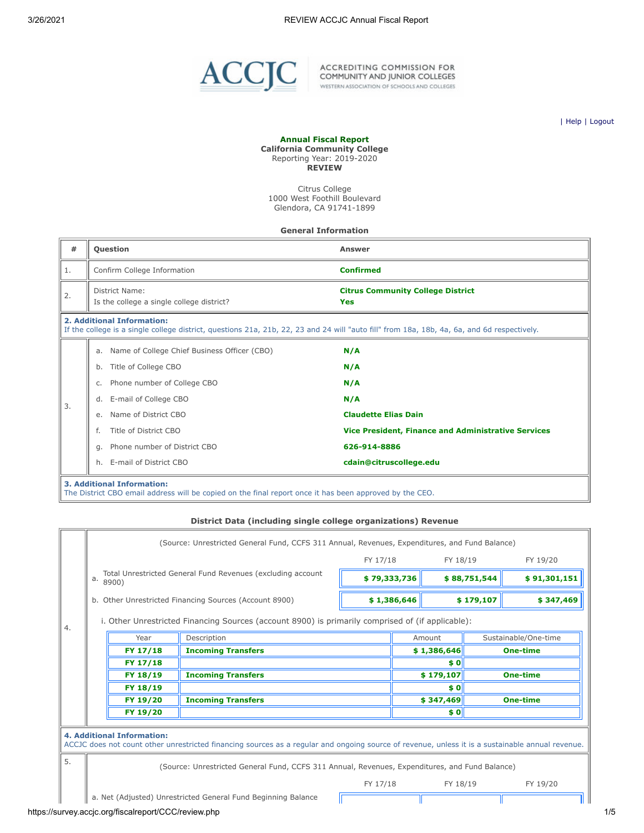

ACCREDITING COMMISSION FOR<br>COMMUNITY AND JUNIOR COLLEGES<br>WESTERN ASSOCIATION OF SCHOOLS AND COLLEGES

| [Help](javascript:newPopup() | [Logout](https://survey.accjc.org/fiscalreport/CCC/logout.php)

#### **Annual Fiscal Report California Community College** Reporting Year: 2019-2020

**REVIEW**

Citrus College 1000 West Foothill Boulevard Glendora, CA 91741-1899

#### **General Information**

| #                                                                                                                                                                         |                                                             | <b>Question</b>                                                                                                                              | Answer                                                     |  |  |
|---------------------------------------------------------------------------------------------------------------------------------------------------------------------------|-------------------------------------------------------------|----------------------------------------------------------------------------------------------------------------------------------------------|------------------------------------------------------------|--|--|
| 1.                                                                                                                                                                        |                                                             | Confirm College Information                                                                                                                  | <b>Confirmed</b>                                           |  |  |
| 2.                                                                                                                                                                        | District Name:<br>Is the college a single college district? |                                                                                                                                              | <b>Citrus Community College District</b><br>Yes            |  |  |
| 2. Additional Information:<br>If the college is a single college district, questions 21a, 21b, 22, 23 and 24 will "auto fill" from 18a, 18b, 4a, 6a, and 6d respectively. |                                                             |                                                                                                                                              |                                                            |  |  |
|                                                                                                                                                                           |                                                             | a. Name of College Chief Business Officer (CBO)                                                                                              | N/A                                                        |  |  |
|                                                                                                                                                                           | b.                                                          | Title of College CBO                                                                                                                         | N/A                                                        |  |  |
|                                                                                                                                                                           | C.                                                          | Phone number of College CBO                                                                                                                  | N/A                                                        |  |  |
| 3.                                                                                                                                                                        | d.                                                          | E-mail of College CBO                                                                                                                        | N/A                                                        |  |  |
|                                                                                                                                                                           | e.                                                          | Name of District CBO                                                                                                                         | <b>Claudette Elias Dain</b>                                |  |  |
|                                                                                                                                                                           |                                                             | Title of District CBO                                                                                                                        | <b>Vice President, Finance and Administrative Services</b> |  |  |
|                                                                                                                                                                           | q.                                                          | Phone number of District CBO                                                                                                                 | 626-914-8886                                               |  |  |
|                                                                                                                                                                           | h.                                                          | E-mail of District CBO                                                                                                                       | cdain@citruscollege.edu                                    |  |  |
|                                                                                                                                                                           |                                                             | <b>3. Additional Information:</b><br>The District CBO email address will be copied on the final report once it has been approved by the CEO. |                                                            |  |  |

## **District Data (including single college organizations) Revenue**

|    |                                   |                                                                                                                                                  | FY 17/18     |             | FY 18/19                     |                        | FY 19/20             |
|----|-----------------------------------|--------------------------------------------------------------------------------------------------------------------------------------------------|--------------|-------------|------------------------------|------------------------|----------------------|
|    | a.<br>8900)                       | Total Unrestricted General Fund Revenues (excluding account                                                                                      | \$79,333,736 |             | \$88,751,544<br>\$91,301,151 |                        |                      |
|    |                                   | b. Other Unrestricted Financing Sources (Account 8900)                                                                                           |              | \$1,386,646 |                              | \$179,107<br>\$347,469 |                      |
| 4. |                                   | i. Other Unrestricted Financing Sources (account 8900) is primarily comprised of (if applicable):                                                |              |             |                              |                        |                      |
|    | Year                              | Description                                                                                                                                      |              |             | Amount                       |                        | Sustainable/One-time |
|    | FY 17/18                          | <b>Incoming Transfers</b>                                                                                                                        |              |             | \$1,386,646                  |                        | <b>One-time</b>      |
|    | FY 17/18                          |                                                                                                                                                  |              |             | \$0                          |                        |                      |
|    | FY 18/19                          | <b>Incoming Transfers</b>                                                                                                                        |              |             | \$179,107<br><b>One-time</b> |                        |                      |
|    | FY 18/19                          |                                                                                                                                                  |              |             | \$0                          |                        |                      |
|    | FY 19/20                          | <b>Incoming Transfers</b>                                                                                                                        |              |             | \$347,469                    |                        | <b>One-time</b>      |
|    | FY 19/20                          |                                                                                                                                                  |              |             | \$0                          |                        |                      |
|    | <b>4. Additional Information:</b> | ACCJC does not count other unrestricted financing sources as a regular and ongoing source of revenue, unless it is a sustainable annual revenue. |              |             |                              |                        |                      |
| 5. |                                   | (Source: Unrestricted General Fund, CCFS 311 Annual, Revenues, Expenditures, and Fund Balance)                                                   |              |             |                              |                        |                      |
|    |                                   |                                                                                                                                                  | FY 17/18     |             | FY 18/19                     |                        | FY 19/20             |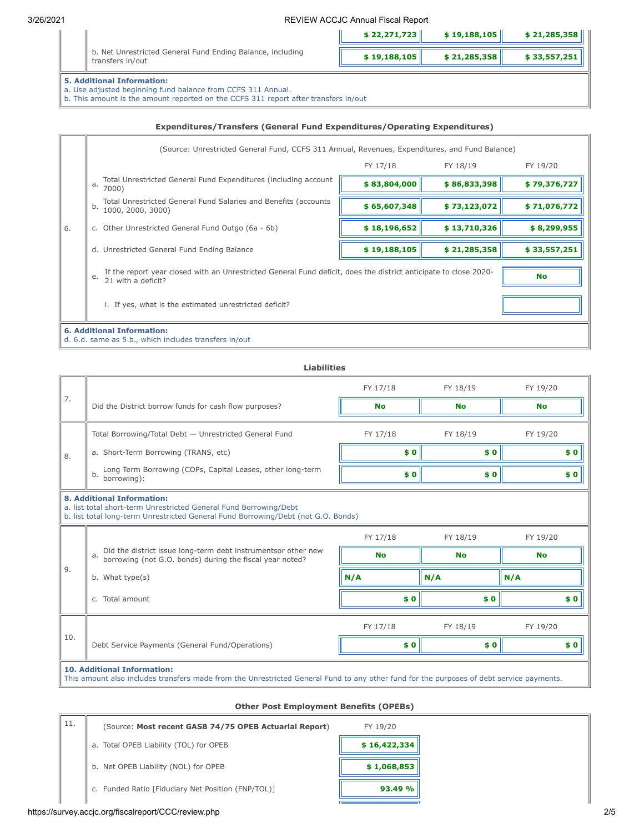|                                                                                                                                                                                          | \$22,271,723 | \$19,188,105 | \$21,285,358 |  |  |  |
|------------------------------------------------------------------------------------------------------------------------------------------------------------------------------------------|--------------|--------------|--------------|--|--|--|
| b. Net Unrestricted General Fund Ending Balance, including<br>transfers in/out                                                                                                           | \$19,188,105 | \$21,285,358 | \$33,557,251 |  |  |  |
| <b>5. Additional Information:</b><br>a. Use adjusted beginning fund balance from CCFS 311 Annual.<br>b. This amount is the amount reported on the CCFS 311 report after transfers in/out |              |              |              |  |  |  |

## **Expenditures/Transfers (General Fund Expenditures/Operating Expenditures)**

|    | (Source: Unrestricted General Fund, CCFS 311 Annual, Revenues, Expenditures, and Fund Balance)                                               |              |              |              |  |  |  |
|----|----------------------------------------------------------------------------------------------------------------------------------------------|--------------|--------------|--------------|--|--|--|
|    |                                                                                                                                              | FY 17/18     | FY 18/19     | FY 19/20     |  |  |  |
|    | Total Unrestricted General Fund Expenditures (including account<br>$4^{\circ}$ 7000)                                                         | \$83,804,000 | \$86,833,398 | \$79,376,727 |  |  |  |
|    | Total Unrestricted General Fund Salaries and Benefits (accounts<br>b.<br>1000, 2000, 3000)                                                   | \$65,607,348 | \$73,123,072 | \$71,076,772 |  |  |  |
| 6. | c. Other Unrestricted General Fund Outgo (6a - 6b)                                                                                           | \$18,196,652 | \$13,710,326 | \$8,299,955  |  |  |  |
|    | d. Unrestricted General Fund Ending Balance                                                                                                  | \$19,188,105 | \$21,285,358 | \$33,557,251 |  |  |  |
|    | If the report year closed with an Unrestricted General Fund deficit, does the district anticipate to close 2020-<br>e.<br>21 with a deficit? | <b>No</b>    |              |              |  |  |  |
|    | i. If yes, what is the estimated unrestricted deficit?                                                                                       |              |              |              |  |  |  |
|    | <b>6. Additional Information:</b><br>d. 6.d. same as 5.b., which includes transfers in/out                                                   |              |              |              |  |  |  |

|     | <b>Liabilities</b>                                                                                                                                                                          |           |           |           |  |  |  |  |
|-----|---------------------------------------------------------------------------------------------------------------------------------------------------------------------------------------------|-----------|-----------|-----------|--|--|--|--|
|     |                                                                                                                                                                                             | FY 17/18  | FY 18/19  | FY 19/20  |  |  |  |  |
| 7.  | Did the District borrow funds for cash flow purposes?                                                                                                                                       | <b>No</b> | <b>No</b> | <b>No</b> |  |  |  |  |
|     | Total Borrowing/Total Debt - Unrestricted General Fund                                                                                                                                      | FY 17/18  | FY 18/19  | FY 19/20  |  |  |  |  |
| 8.  | a. Short-Term Borrowing (TRANS, etc)                                                                                                                                                        | \$0       | \$0       | \$0       |  |  |  |  |
|     | Long Term Borrowing (COPs, Capital Leases, other long-term<br>b.<br>borrowing):                                                                                                             | \$0       | \$0       | \$0       |  |  |  |  |
|     | <b>8. Additional Information:</b><br>a. list total short-term Unrestricted General Fund Borrowing/Debt<br>b. list total long-term Unrestricted General Fund Borrowing/Debt (not G.O. Bonds) |           |           |           |  |  |  |  |
|     |                                                                                                                                                                                             | FY 17/18  | FY 18/19  | FY 19/20  |  |  |  |  |
|     | Did the district issue long-term debt instrumentsor other new<br>a.<br>borrowing (not G.O. bonds) during the fiscal year noted?                                                             | <b>No</b> | <b>No</b> | <b>No</b> |  |  |  |  |
| 9.  | b. What type(s)                                                                                                                                                                             | N/A       | N/A       | N/A       |  |  |  |  |
|     | c. Total amount                                                                                                                                                                             | \$0       | \$0       | \$0       |  |  |  |  |
| 10. |                                                                                                                                                                                             | FY 17/18  | FY 18/19  | FY 19/20  |  |  |  |  |
|     | Debt Service Payments (General Fund/Operations)                                                                                                                                             | \$0       | \$0       | \$0       |  |  |  |  |
|     | <b>10. Additional Information:</b><br>This amount also includes transfers made from the Unrestricted General Fund to any other fund for the purposes of debt service payments.              |           |           |           |  |  |  |  |

## **Other Post Employment Benefits (OPEBs)**

| 11. | (Source: Most recent GASB 74/75 OPEB Actuarial Report) | FY 19/20     |
|-----|--------------------------------------------------------|--------------|
|     | a. Total OPEB Liability (TOL) for OPEB                 | \$16,422,334 |
|     | b. Net OPEB Liability (NOL) for OPEB                   | \$1,068,853  |
|     | c. Funded Ratio [Fiduciary Net Position (FNP/TOL)]     | 93.49 %      |
|     |                                                        |              |

## https://survey.accjc.org/fiscalreport/CCC/review.php 2/5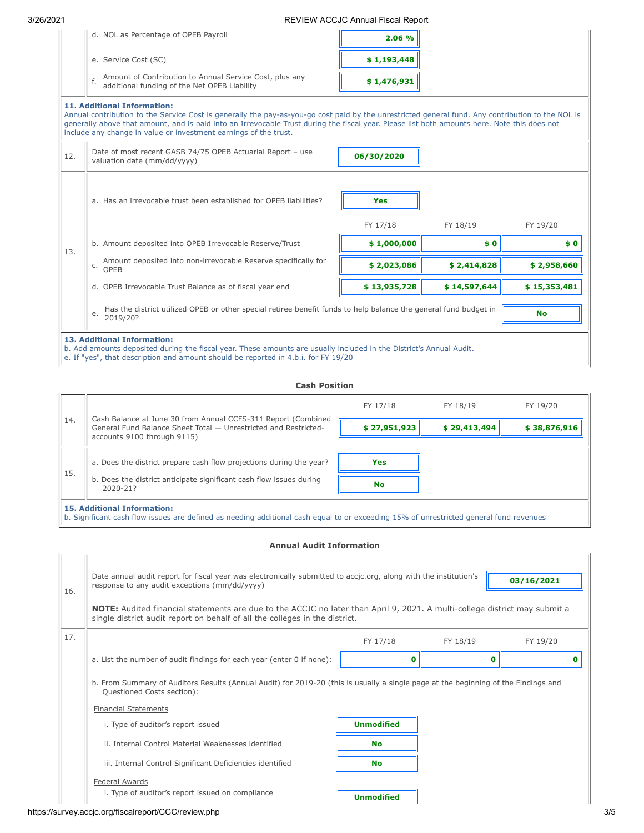|                                                                                                                                                                                                                                                                                                                                                                                                             | d. NOL as Percentage of OPEB Payroll                                                                                                                                                                                                     | 2.06 %       |              |              |  |  |  |
|-------------------------------------------------------------------------------------------------------------------------------------------------------------------------------------------------------------------------------------------------------------------------------------------------------------------------------------------------------------------------------------------------------------|------------------------------------------------------------------------------------------------------------------------------------------------------------------------------------------------------------------------------------------|--------------|--------------|--------------|--|--|--|
|                                                                                                                                                                                                                                                                                                                                                                                                             | e. Service Cost (SC)                                                                                                                                                                                                                     | \$1,193,448  |              |              |  |  |  |
|                                                                                                                                                                                                                                                                                                                                                                                                             | Amount of Contribution to Annual Service Cost, plus any<br>additional funding of the Net OPEB Liability                                                                                                                                  | \$1,476,931  |              |              |  |  |  |
| <b>11. Additional Information:</b><br>Annual contribution to the Service Cost is generally the pay-as-you-go cost paid by the unrestricted general fund. Any contribution to the NOL is<br>generally above that amount, and is paid into an Irrevocable Trust during the fiscal year. Please list both amounts here. Note this does not<br>include any change in value or investment earnings of the trust. |                                                                                                                                                                                                                                          |              |              |              |  |  |  |
| 12.                                                                                                                                                                                                                                                                                                                                                                                                         | Date of most recent GASB 74/75 OPEB Actuarial Report - use<br>valuation date (mm/dd/yyyy)                                                                                                                                                | 06/30/2020   |              |              |  |  |  |
|                                                                                                                                                                                                                                                                                                                                                                                                             | a. Has an irrevocable trust been established for OPEB liabilities?                                                                                                                                                                       | <b>Yes</b>   |              |              |  |  |  |
|                                                                                                                                                                                                                                                                                                                                                                                                             |                                                                                                                                                                                                                                          | FY 17/18     | FY 18/19     | FY 19/20     |  |  |  |
| 13.                                                                                                                                                                                                                                                                                                                                                                                                         | b. Amount deposited into OPEB Irrevocable Reserve/Trust                                                                                                                                                                                  | \$1,000,000  | \$0          | \$0          |  |  |  |
|                                                                                                                                                                                                                                                                                                                                                                                                             | Amount deposited into non-irrevocable Reserve specifically for<br>C.<br>OPEB                                                                                                                                                             | \$2,023,086  | \$2,414,828  | \$2,958,660  |  |  |  |
|                                                                                                                                                                                                                                                                                                                                                                                                             | d. OPEB Irrevocable Trust Balance as of fiscal year end                                                                                                                                                                                  | \$13,935,728 | \$14,597,644 | \$15,353,481 |  |  |  |
|                                                                                                                                                                                                                                                                                                                                                                                                             | Has the district utilized OPEB or other special retiree benefit funds to help balance the general fund budget in<br><b>No</b><br>е.<br>2019/20?                                                                                          |              |              |              |  |  |  |
|                                                                                                                                                                                                                                                                                                                                                                                                             | 13. Additional Information:<br>b. Add amounts deposited during the fiscal year. These amounts are usually included in the District's Annual Audit.<br>e. If "yes", that description and amount should be reported in 4.b.i. for FY 19/20 |              |              |              |  |  |  |

## **Cash Position**

|     |                                                                                                                                                                              | FY 17/18         | FY 18/19     | FY 19/20     |
|-----|------------------------------------------------------------------------------------------------------------------------------------------------------------------------------|------------------|--------------|--------------|
| 14. | Cash Balance at June 30 from Annual CCFS-311 Report (Combined<br>General Fund Balance Sheet Total - Unrestricted and Restricted-<br>accounts 9100 through 9115)              | \$27,951,923     | \$29,413,494 | \$38,876,916 |
| 15. | a. Does the district prepare cash flow projections during the year?<br>b. Does the district anticipate significant cash flow issues during<br>2020-21?                       | Yes<br><b>No</b> |              |              |
|     | <b>15. Additional Information:</b><br>b. Significant cash flow issues are defined as needing additional cash equal to or exceeding 15% of unrestricted general fund revenues |                  |              |              |

## **Annual Audit Information**

| 16. | Date annual audit report for fiscal year was electronically submitted to accjc.org, along with the institution's<br>response to any audit exceptions (mm/dd/yyyy)                                         |                   |          | 03/16/2021 |  |
|-----|-----------------------------------------------------------------------------------------------------------------------------------------------------------------------------------------------------------|-------------------|----------|------------|--|
|     | NOTE: Audited financial statements are due to the ACCJC no later than April 9, 2021. A multi-college district may submit a<br>single district audit report on behalf of all the colleges in the district. |                   |          |            |  |
| 17. |                                                                                                                                                                                                           | FY 17/18          | FY 18/19 | FY 19/20   |  |
|     | a. List the number of audit findings for each year (enter 0 if none):                                                                                                                                     |                   | o        |            |  |
|     |                                                                                                                                                                                                           |                   |          |            |  |
|     | b. From Summary of Auditors Results (Annual Audit) for 2019-20 (this is usually a single page at the beginning of the Findings and<br>Questioned Costs section):<br><b>Financial Statements</b>           |                   |          |            |  |
|     | i. Type of auditor's report issued                                                                                                                                                                        | <b>Unmodified</b> |          |            |  |
|     | ii. Internal Control Material Weaknesses identified                                                                                                                                                       | <b>No</b>         |          |            |  |
|     | iii. Internal Control Significant Deficiencies identified                                                                                                                                                 | <b>No</b>         |          |            |  |
|     | Federal Awards                                                                                                                                                                                            |                   |          |            |  |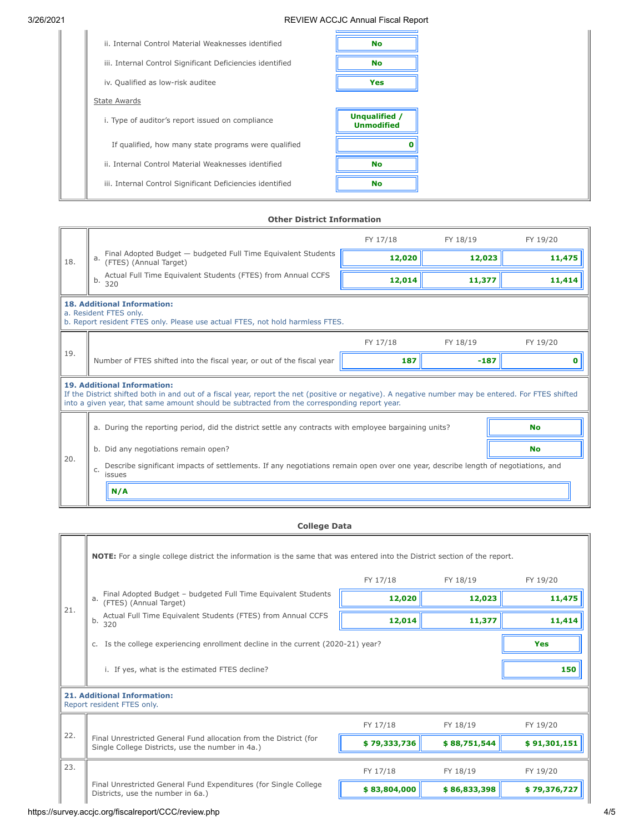| ii. Internal Control Material Weaknesses identified       | <b>No</b>                          |
|-----------------------------------------------------------|------------------------------------|
| iii. Internal Control Significant Deficiencies identified | <b>No</b>                          |
| iv. Qualified as low-risk auditee                         | Yes                                |
| <b>State Awards</b>                                       |                                    |
| i. Type of auditor's report issued on compliance          | Unqualified /<br><b>Unmodified</b> |
| If qualified, how many state programs were qualified      |                                    |
| ii. Internal Control Material Weaknesses identified       | <b>No</b>                          |
| iii. Internal Control Significant Deficiencies identified | <b>No</b>                          |
|                                                           |                                    |

## **Other District Information**

|     |                                                                                                                                                                                                                                                                                           | FY 17/18 | FY 18/19 | FY 19/20  |  |  |  |  |  |
|-----|-------------------------------------------------------------------------------------------------------------------------------------------------------------------------------------------------------------------------------------------------------------------------------------------|----------|----------|-----------|--|--|--|--|--|
| 18. | Final Adopted Budget - budgeted Full Time Equivalent Students<br>а.<br>(FTES) (Annual Target)                                                                                                                                                                                             | 12,020   | 12,023   | 11,475    |  |  |  |  |  |
|     | Actual Full Time Equivalent Students (FTES) from Annual CCFS<br>b.<br>320                                                                                                                                                                                                                 | 12,014   | 11,377   | 11,414    |  |  |  |  |  |
|     | <b>18. Additional Information:</b><br>a. Resident FTES only.<br>b. Report resident FTES only. Please use actual FTES, not hold harmless FTES.                                                                                                                                             |          |          |           |  |  |  |  |  |
|     |                                                                                                                                                                                                                                                                                           | FY 17/18 | FY 18/19 | FY 19/20  |  |  |  |  |  |
| 19. | Number of FTES shifted into the fiscal year, or out of the fiscal year                                                                                                                                                                                                                    | 187      | $-187$   | n         |  |  |  |  |  |
|     | <b>19. Additional Information:</b><br>If the District shifted both in and out of a fiscal year, report the net (positive or negative). A negative number may be entered. For FTES shifted<br>into a given year, that same amount should be subtracted from the corresponding report year. |          |          |           |  |  |  |  |  |
|     | a. During the reporting period, did the district settle any contracts with employee bargaining units?                                                                                                                                                                                     |          |          | <b>No</b> |  |  |  |  |  |
|     | b. Did any negotiations remain open?                                                                                                                                                                                                                                                      |          |          | <b>No</b> |  |  |  |  |  |
| 20. | Describe significant impacts of settlements. If any negotiations remain open over one year, describe length of negotiations, and<br>C.<br>issues                                                                                                                                          |          |          |           |  |  |  |  |  |
|     | N/A                                                                                                                                                                                                                                                                                       |          |          |           |  |  |  |  |  |

# **College Data**

|     | NOTE: For a single college district the information is the same that was entered into the District section of the report. |              |              |              |
|-----|---------------------------------------------------------------------------------------------------------------------------|--------------|--------------|--------------|
|     |                                                                                                                           | FY 17/18     | FY 18/19     | FY 19/20     |
|     | Final Adopted Budget - budgeted Full Time Equivalent Students<br>a.<br>(FTES) (Annual Target)                             | 12,020       | 12,023       | 11,475       |
| 21. | Actual Full Time Equivalent Students (FTES) from Annual CCFS<br>b.<br>320                                                 | 12,014       | 11,377       | 11,414       |
|     | Is the college experiencing enrollment decline in the current (2020-21) year?<br>C.                                       |              |              | Yes          |
|     | i. If yes, what is the estimated FTES decline?                                                                            |              |              | 150          |
|     | <b>21. Additional Information:</b><br>Report resident FTES only.                                                          |              |              |              |
|     |                                                                                                                           | FY 17/18     | FY 18/19     | FY 19/20     |
| 22. | Final Unrestricted General Fund allocation from the District (for<br>Single College Districts, use the number in 4a.)     | \$79,333,736 | \$88,751,544 | \$91,301,151 |
| 23. |                                                                                                                           | FY 17/18     | FY 18/19     | FY 19/20     |
|     | Final Unrestricted General Fund Expenditures (for Single College<br>Districts, use the number in 6a.)                     | \$83,804,000 | \$86,833,398 | \$79,376,727 |

https://survey.accjc.org/fiscalreport/CCC/review.php 4/5